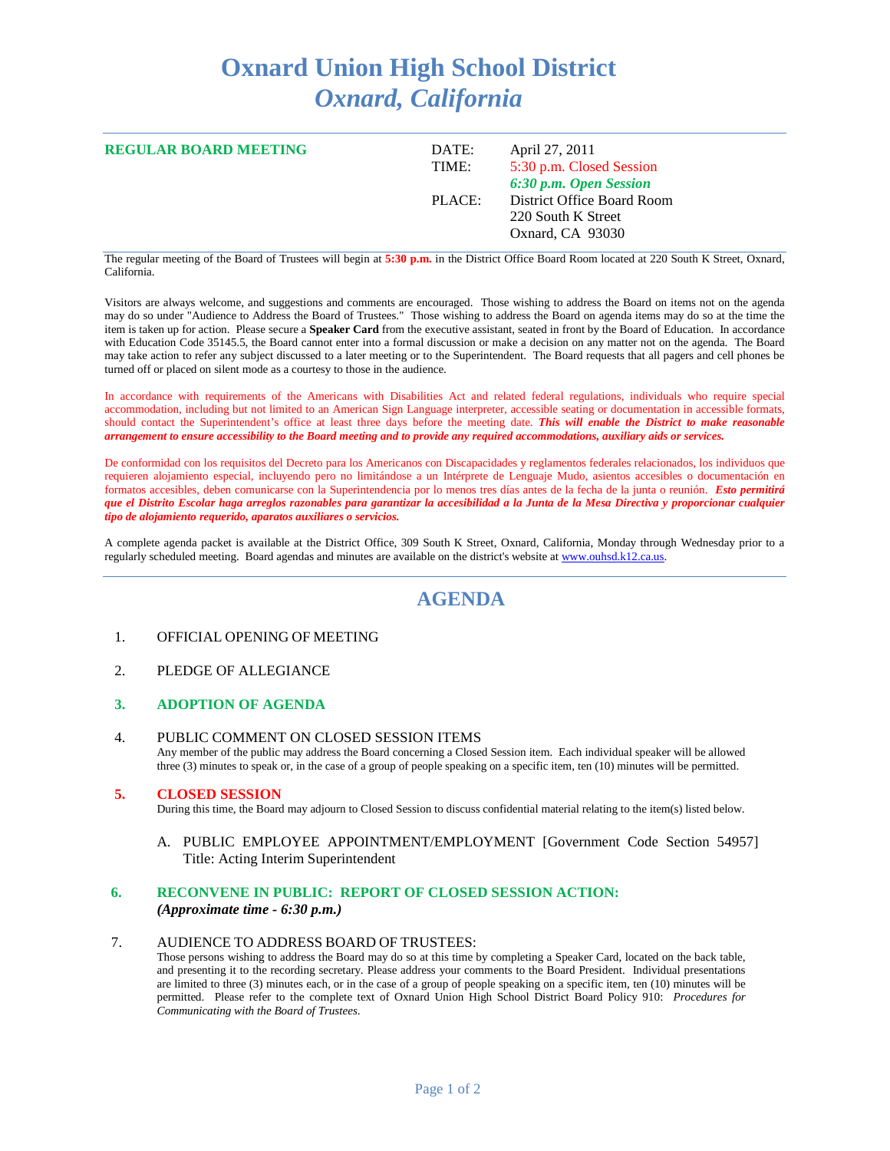# **Oxnard Union High School District** *Oxnard, California*

| <b>REGULAR BOARD MEETING</b> | DATE:<br>TIME: | April 27, 2011<br>5:30 p.m. Closed Session<br>6:30 p.m. Open Session |
|------------------------------|----------------|----------------------------------------------------------------------|
|                              | PLACE:         | District Office Board Room<br>220 South K Street<br>Oxnard, CA 93030 |

The regular meeting of the Board of Trustees will begin at **5:30 p.m.** in the District Office Board Room located at 220 South K Street, Oxnard, California.

Visitors are always welcome, and suggestions and comments are encouraged. Those wishing to address the Board on items not on the agenda may do so under "Audience to Address the Board of Trustees." Those wishing to address the Board on agenda items may do so at the time the item is taken up for action. Please secure a **Speaker Card** from the executive assistant, seated in front by the Board of Education. In accordance with Education Code 35145.5, the Board cannot enter into a formal discussion or make a decision on any matter not on the agenda. The Board may take action to refer any subject discussed to a later meeting or to the Superintendent. The Board requests that all pagers and cell phones be turned off or placed on silent mode as a courtesy to those in the audience.

In accordance with requirements of the Americans with Disabilities Act and related federal regulations, individuals who require special accommodation, including but not limited to an American Sign Language interpreter, accessible seating or documentation in accessible formats, should contact the Superintendent's office at least three days before the meeting date. *This will enable the District to make reasonable arrangement to ensure accessibility to the Board meeting and to provide any required accommodations, auxiliary aids or services.*

De conformidad con los requisitos del Decreto para los Americanos con Discapacidades y reglamentos federales relacionados, los individuos que requieren alojamiento especial, incluyendo pero no limitándose a un Intérprete de Lenguaje Mudo, asientos accesibles o documentación en formatos accesibles, deben comunicarse con la Superintendencia por lo menos tres días antes de la fecha de la junta o reunión. *Esto permitirá que el Distrito Escolar haga arreglos razonables para garantizar la accesibilidad a la Junta de la Mesa Directiva y proporcionar cualquier tipo de alojamiento requerido, aparatos auxiliares o servicios.*

A complete agenda packet is available at the District Office, 309 South K Street, Oxnard, California, Monday through Wednesday prior to a regularly scheduled meeting. Board agendas and minutes are available on the district's website a[t www.ouhsd.k12.ca.us.](http://www.ouhsd.k12.ca.us/)

# **AGENDA**

#### 1. OFFICIAL OPENING OF MEETING

2. PLEDGE OF ALLEGIANCE

#### **3. ADOPTION OF AGENDA**

4. PUBLIC COMMENT ON CLOSED SESSION ITEMS Any member of the public may address the Board concerning a Closed Session item. Each individual speaker will be allowed three (3) minutes to speak or, in the case of a group of people speaking on a specific item, ten (10) minutes will be permitted.

#### **5. CLOSED SESSION**

During this time, the Board may adjourn to Closed Session to discuss confidential material relating to the item(s) listed below.

A. PUBLIC EMPLOYEE APPOINTMENT/EMPLOYMENT [Government Code Section 54957] Title: Acting Interim Superintendent

# **6. RECONVENE IN PUBLIC: REPORT OF CLOSED SESSION ACTION:**

#### *(Approximate time - 6:30 p.m.)*

#### 7. AUDIENCE TO ADDRESS BOARD OF TRUSTEES:

Those persons wishing to address the Board may do so at this time by completing a Speaker Card, located on the back table, and presenting it to the recording secretary. Please address your comments to the Board President. Individual presentations are limited to three (3) minutes each, or in the case of a group of people speaking on a specific item, ten (10) minutes will be permitted. Please refer to the complete text of Oxnard Union High School District Board Policy 910: *Procedures for Communicating with the Board of Trustees*.